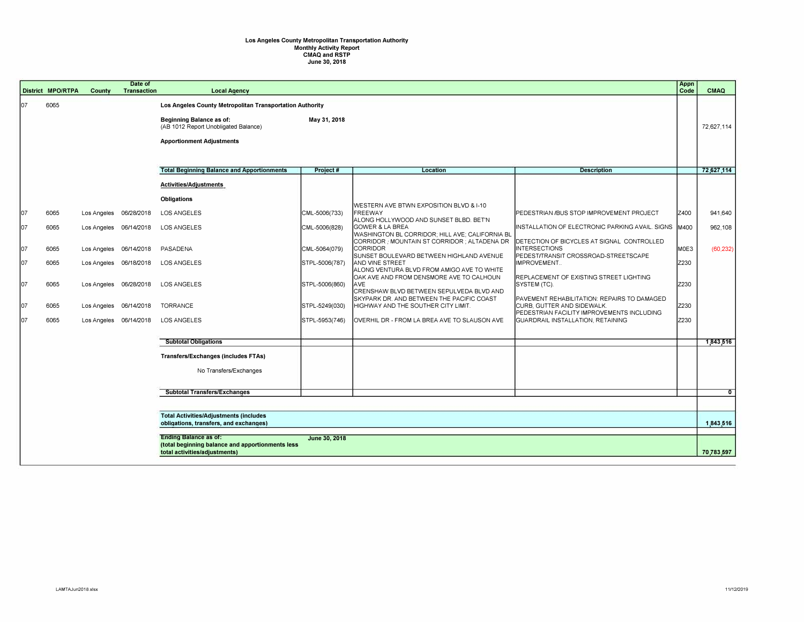## **Los Angeles County Metropolitan Transportation Authority Monthly Activity Report CMAQ and RSTP June 30, 2018**

|     | <b>District MPO/RTPA</b> | County      | Date of<br><b>Transaction</b> | <b>Local Agency</b>                                                                                         |                |                                                                                                              |                                                                                                                         | Appn<br>Code | <b>CMAQ</b>    |
|-----|--------------------------|-------------|-------------------------------|-------------------------------------------------------------------------------------------------------------|----------------|--------------------------------------------------------------------------------------------------------------|-------------------------------------------------------------------------------------------------------------------------|--------------|----------------|
| 107 | 6065                     |             |                               | Los Angeles County Metropolitan Transportation Authority                                                    |                |                                                                                                              |                                                                                                                         |              |                |
|     |                          |             |                               | <b>Beginning Balance as of:</b><br>(AB 1012 Report Unobligated Balance)<br><b>Apportionment Adjustments</b> | May 31, 2018   |                                                                                                              |                                                                                                                         |              | 72,627,114     |
|     |                          |             |                               | <b>Total Beginning Balance and Apportionments</b>                                                           | Project#       | <b>Location</b>                                                                                              | <b>Description</b>                                                                                                      |              | 72,627,114     |
|     |                          |             |                               | Activities/Adjustments                                                                                      |                |                                                                                                              |                                                                                                                         |              |                |
|     |                          |             |                               | <b>Obligations</b>                                                                                          |                |                                                                                                              |                                                                                                                         |              |                |
| 107 | 6065                     | Los Angeles | 06/28/2018                    | <b>LOS ANGELES</b>                                                                                          | CML-5006(733)  | WESTERN AVE BTWN EXPOSITION BLVD & I-10<br><b>FREEWAY</b><br>ALONG HOLLYWOOD AND SUNSET BLBD. BET'N          | PEDESTRIAN /BUS STOP IMPROVEMENT PROJECT                                                                                | Z400         | 941,640        |
| 107 | 6065                     |             | Los Angeles 06/14/2018        | <b>LOS ANGELES</b>                                                                                          | CML-5006(828)  | <b>GOWER &amp; LA BREA</b><br>WASHINGTON BL CORRIDOR; HILL AVE; CALIFORNIA BL                                | INSTALLATION OF ELECTRONIC PARKING AVAIL. SIGNS   M400                                                                  |              | 962,108        |
| 107 | 6065                     | Los Angeles | 06/14/2018                    | PASADENA                                                                                                    | CML-5064(079)  | CORRIDOR ; MOUNTAIN ST CORRIDOR ; ALTADENA DR<br><b>CORRIDOR</b><br>SUNSET BOULEVARD BETWEEN HIGHLAND AVENUE | DETECTION OF BICYCLES AT SIGNAL CONTROLLED<br><b>INTERSECTIONS</b><br>PEDEST/TRANSIT CROSSROAD-STREETSCAPE              | M0E3         | (60, 232)      |
| lo7 | 6065                     | Los Angeles | 06/18/2018                    | <b>LOS ANGELES</b>                                                                                          | STPL-5006(787) | AND VINE STREET<br>ALONG VENTURA BLVD FROM AMIGO AVE TO WHITE                                                | IMPROVEMENT                                                                                                             | Z230         |                |
| 107 | 6065                     | Los Angeles | 06/28/2018                    | <b>LOS ANGELES</b>                                                                                          | STPL-5006(860) | OAK AVE AND FROM DENSMORE AVE TO CALHOUN<br><b>AVE</b><br>CRENSHAW BLVD BETWEEN SEPULVEDA BLVD AND           | REPLACEMENT OF EXISTING STREET LIGHTING<br>SYSTEM (TC).                                                                 | Z230         |                |
| 07  | 6065                     | Los Angeles | 06/14/2018                    | <b>TORRANCE</b>                                                                                             | STPL-5249(030) | SKYPARK DR. AND BETWEEN THE PACIFIC COAST<br>HIGHWAY AND THE SOUTHER CITY LIMIT.                             | PAVEMENT REHABILITATION: REPAIRS TO DAMAGED<br>CURB, GUTTER AND SIDEWALK.<br>PEDESTRIAN FACILITY IMPROVEMENTS INCLUDING | Z230         |                |
| 107 | 6065                     |             | Los Angeles 06/14/2018        | <b>LOS ANGELES</b>                                                                                          | STPL-5953(746) | OVERHIL DR - FROM LA BREA AVE TO SLAUSON AVE                                                                 | GUARDRAIL INSTALLATION, RETAINING                                                                                       | Z230         |                |
|     |                          |             |                               | <b>Subtotal Obligations</b>                                                                                 |                |                                                                                                              |                                                                                                                         |              | 1,843,516      |
|     |                          |             |                               | <b>Transfers/Exchanges (includes FTAs)</b>                                                                  |                |                                                                                                              |                                                                                                                         |              |                |
|     |                          |             |                               | No Transfers/Exchanges                                                                                      |                |                                                                                                              |                                                                                                                         |              |                |
|     |                          |             |                               | <b>Subtotal Transfers/Exchanges</b>                                                                         |                |                                                                                                              |                                                                                                                         |              | $\overline{0}$ |
|     |                          |             |                               |                                                                                                             |                |                                                                                                              |                                                                                                                         |              |                |
|     |                          |             |                               | <b>Total Activities/Adjustments (includes</b><br>obligations, transfers, and exchanges)                     |                |                                                                                                              |                                                                                                                         |              | 1,843,516      |
|     |                          |             |                               | <b>Ending Balance as of:</b>                                                                                | June 30, 2018  |                                                                                                              |                                                                                                                         |              |                |
|     |                          |             |                               | (total beginning balance and apportionments less<br>total activities/adjustments)                           |                |                                                                                                              |                                                                                                                         |              | 70,783,597     |
|     |                          |             |                               |                                                                                                             |                |                                                                                                              |                                                                                                                         |              |                |